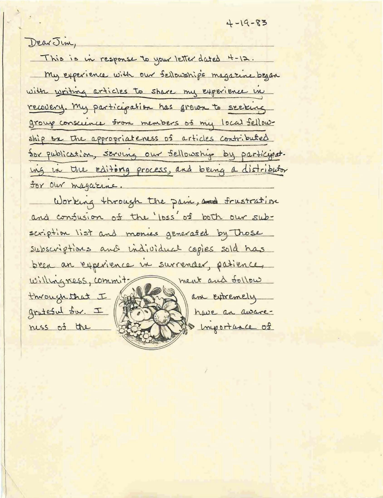Dear Jim,

This is in response to your letter dated 4-12. My experience with our Sellowships magazine began with writing articles to share my experience in recovery. My participation has grown to seeking group conscience from members of my local fellowship on the appropriateness of articles contributed Sor publication, serving our sellowship by participat. ing in the editing process, and being a distributor for our magazine.

Working through the pain, and frustration and confusion of the loss of both our subscription list and monies generated by Those subscriptions and individual copies sold has been an experience in surrender, patience, ment and follow willingness, commitam extremely through that I grateful for. I have an awarehyportunce of ness of the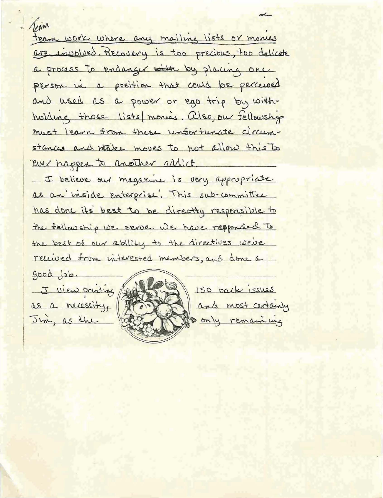Tegin fear work where any mailing lists or mones <u>are involved. Recovery is too precious, too delicate</u> a process to endanger with by placing one person in a position that could be perceived and used as a power or ego trip by withholding those lists monies. also, our fellowship must learn from these unfortunate circumstances and whake moves to not allow this to ever happen to another addict. I believe our magazine is very appropriate as an inside enterprise. This sub-committee has done its best to be directly responsible to the sellowship we serve. We have responded to the best of our ability to the directives we've received from interested members, and done a good job. I view printing 150 back issues and most certainly as a necessity. only remaining Jun, as the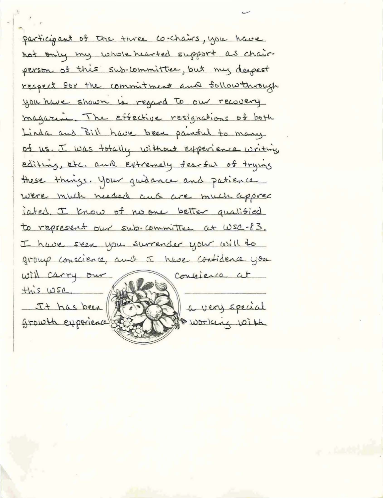participant of the three co-chairs, you have not only my whole hearted support as chairperson of this sub-committee, but my deepest respect for the commitment and follow through you have shown in regard to our recovery magazine. The effective resignations of both Linda and Bill have been painted to many of us. I was totally without experience writing editing, etc. and extremely fearful of trying these things. Your guidance and patience were much needed and are much apprec iated. I know of no one better qualified to represent our sub-committee at WSC-83. I have seen you surrender your will to group conscience, and I have contidence you will carry our Consider at this wsc. a very special It has been growth experience! working with